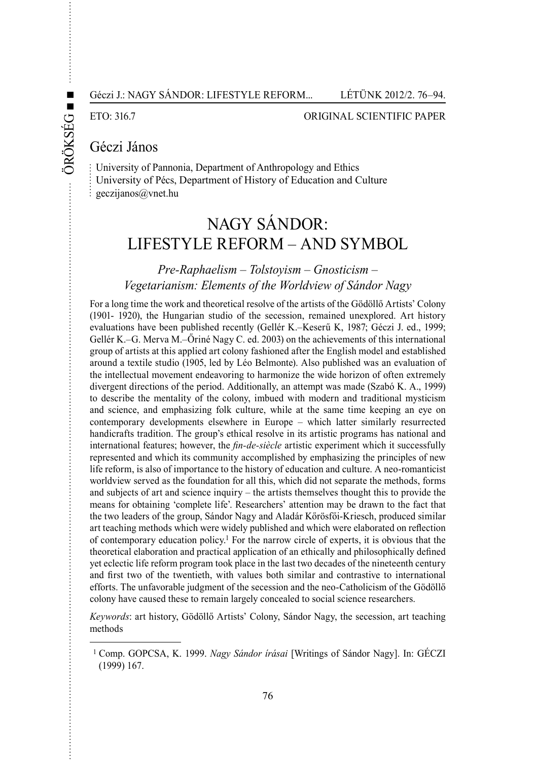ÖRÖ

KSÉG

**■ ■**

#### ETO: 316.7 ORIGINAL SCIENTIFIC PAPER

# Géczi János

University of Pannonia, Department of Anthropology and Ethics University of Pécs, Department of History of Education and Culture geczijanos@vnet.hu

# Nagy Sándor: Lifestyle Reform – And Symbol

## *Pre-Raphaelism – Tolstoyism – Gnosticism – Vegetarianism: Elements of the Worldview of Sándor Nagy*

For a long time the work and theoretical resolve of the artists of the Gödöllő Artists' Colony (1901- 1920), the Hungarian studio of the secession, remained unexplored. Art history evaluations have been published recently (Gellér K.–Keserű K, 1987; Géczi J. ed., 1999; Gellér K.–G. Merva M.–Őriné Nagy C. ed. 2003) on the achievements of this international group of artists at this applied art colony fashioned after the English model and established around a textile studio (1905, led by Léo Belmonte). Also published was an evaluation of the intellectual movement endeavoring to harmonize the wide horizon of often extremely divergent directions of the period. Additionally, an attempt was made (Szabó K. A., 1999) to describe the mentality of the colony, imbued with modern and traditional mysticism and science, and emphasizing folk culture, while at the same time keeping an eye on contemporary developments elsewhere in Europe – which latter similarly resurrected handicrafts tradition. The group's ethical resolve in its artistic programs has national and international features; however, the *fin-de-siècle* artistic experiment which it successfully represented and which its community accomplished by emphasizing the principles of new life reform, is also of importance to the history of education and culture. A neo-romanticist worldview served as the foundation for all this, which did not separate the methods, forms and subjects of art and science inquiry – the artists themselves thought this to provide the means for obtaining 'complete life'. Researchers' attention may be drawn to the fact that the two leaders of the group, Sándor Nagy and Aladár Kőrösfői-Kriesch, produced similar art teaching methods which were widely published and which were elaborated on reflection of contemporary education policy.1 For the narrow circle of experts, it is obvious that the theoretical elaboration and practical application of an ethically and philosophically defined yet eclectic life reform program took place in the last two decades of the nineteenth century and first two of the twentieth, with values both similar and contrastive to international efforts. The unfavorable judgment of the secession and the neo-Catholicism of the Gödöllő colony have caused these to remain largely concealed to social science researchers.

*Keywords*: art history, Gödöllő Artists' Colony, Sándor Nagy, the secession, art teaching methods

<sup>1</sup> Comp. GOPCSA, K. 1999. *Nagy Sándor írásai* [Writings of Sándor Nagy]. In: GÉCZI (1999) 167.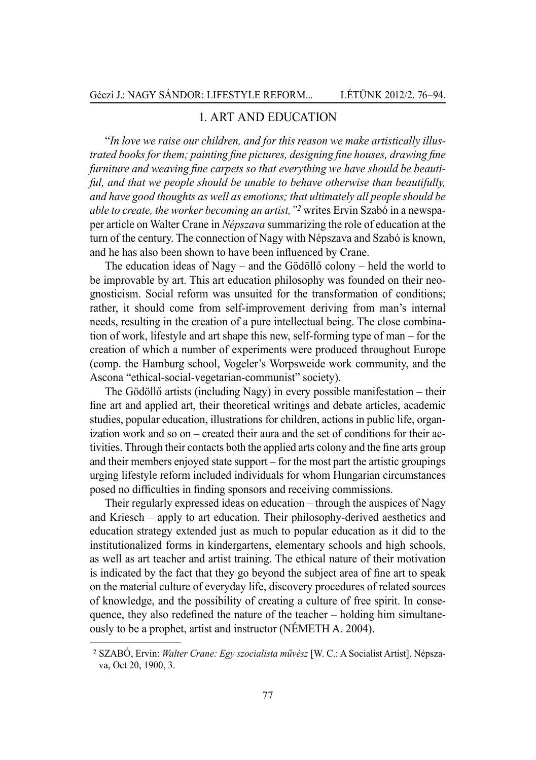## 1. Art and education

"*In love we raise our children, and for this reason we make artistically illustrated books for them; painting fine pictures, designing fine houses, drawing fine furniture and weaving fine carpets so that everything we have should be beautiful, and that we people should be unable to behave otherwise than beautifully, and have good thoughts as well as emotions; that ultimately all people should be able to create, the worker becoming an artist,"2* writes Ervin Szabó in a newspaper article on Walter Crane in *Népszava* summarizing the role of education at the turn of the century. The connection of Nagy with Népszava and Szabó is known, and he has also been shown to have been influenced by Crane.

The education ideas of Nagy – and the Gödöllő colony – held the world to be improvable by art. This art education philosophy was founded on their neognosticism. Social reform was unsuited for the transformation of conditions; rather, it should come from self-improvement deriving from man's internal needs, resulting in the creation of a pure intellectual being. The close combination of work, lifestyle and art shape this new, self-forming type of man – for the creation of which a number of experiments were produced throughout Europe (comp. the Hamburg school, Vogeler's Worpsweide work community, and the Ascona "ethical-social-vegetarian-communist" society).

The Gödöllő artists (including Nagy) in every possible manifestation – their fine art and applied art, their theoretical writings and debate articles, academic studies, popular education, illustrations for children, actions in public life, organization work and so on – created their aura and the set of conditions for their activities. Through their contacts both the applied arts colony and the fine arts group and their members enjoyed state support – for the most part the artistic groupings urging lifestyle reform included individuals for whom Hungarian circumstances posed no difficulties in finding sponsors and receiving commissions.

Their regularly expressed ideas on education – through the auspices of Nagy and Kriesch – apply to art education. Their philosophy-derived aesthetics and education strategy extended just as much to popular education as it did to the institutionalized forms in kindergartens, elementary schools and high schools, as well as art teacher and artist training. The ethical nature of their motivation is indicated by the fact that they go beyond the subject area of fine art to speak on the material culture of everyday life, discovery procedures of related sources of knowledge, and the possibility of creating a culture of free spirit. In consequence, they also redefined the nature of the teacher – holding him simultaneously to be a prophet, artist and instructor (NÉMETH A. 2004).

 <sup>2</sup>SZABÓ, Ervin: *Walter Crane: Egy szocialista művész* [W. C.: A Socialist Artist]. Népszava, Oct 20, 1900, 3.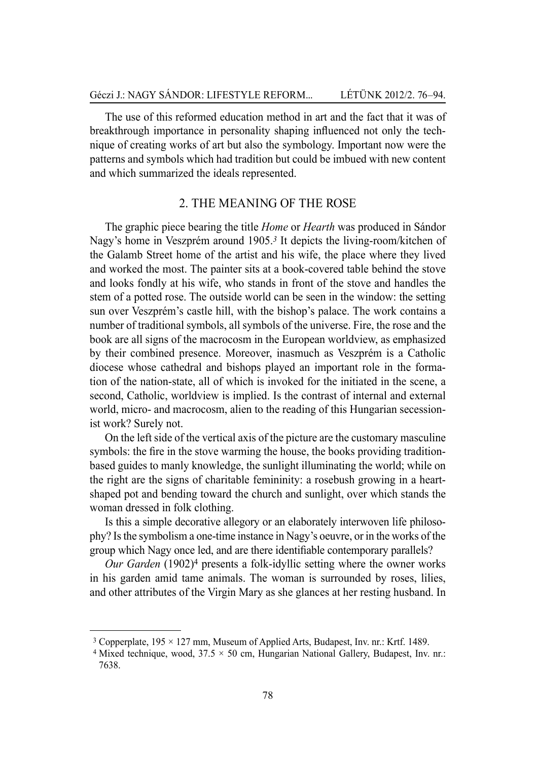The use of this reformed education method in art and the fact that it was of breakthrough importance in personality shaping influenced not only the technique of creating works of art but also the symbology. Important now were the patterns and symbols which had tradition but could be imbued with new content and which summarized the ideals represented.

## 2. The meaning of the rose

The graphic piece bearing the title *Home* or *Hearth* was produced in Sándor Nagy's home in Veszprém around 1905.*<sup>3</sup>* It depicts the living-room/kitchen of the Galamb Street home of the artist and his wife, the place where they lived and worked the most. The painter sits at a book-covered table behind the stove and looks fondly at his wife, who stands in front of the stove and handles the stem of a potted rose. The outside world can be seen in the window: the setting sun over Veszprém's castle hill, with the bishop's palace. The work contains a number of traditional symbols, all symbols of the universe. Fire, the rose and the book are all signs of the macrocosm in the European worldview, as emphasized by their combined presence. Moreover, inasmuch as Veszprém is a Catholic diocese whose cathedral and bishops played an important role in the formation of the nation-state, all of which is invoked for the initiated in the scene, a second, Catholic, worldview is implied. Is the contrast of internal and external world, micro- and macrocosm, alien to the reading of this Hungarian secessionist work? Surely not.

On the left side of the vertical axis of the picture are the customary masculine symbols: the fire in the stove warming the house, the books providing traditionbased guides to manly knowledge, the sunlight illuminating the world; while on the right are the signs of charitable femininity: a rosebush growing in a heartshaped pot and bending toward the church and sunlight, over which stands the woman dressed in folk clothing.

Is this a simple decorative allegory or an elaborately interwoven life philosophy? Is the symbolism a one-time instance in Nagy's oeuvre, or in the works of the group which Nagy once led, and are there identifiable contemporary parallels?

*Our Garden* (1902)<sup>4</sup> presents a folk-idyllic setting where the owner works in his garden amid tame animals. The woman is surrounded by roses, lilies, and other attributes of the Virgin Mary as she glances at her resting husband. In

<sup>3</sup> Copperplate, 195 × 127 mm, Museum of Applied Arts, Budapest, Inv. nr.: Krtf. 1489.

<sup>4</sup> Mixed technique, wood,  $37.5 \times 50$  cm, Hungarian National Gallery, Budapest, Inv. nr.: 7638.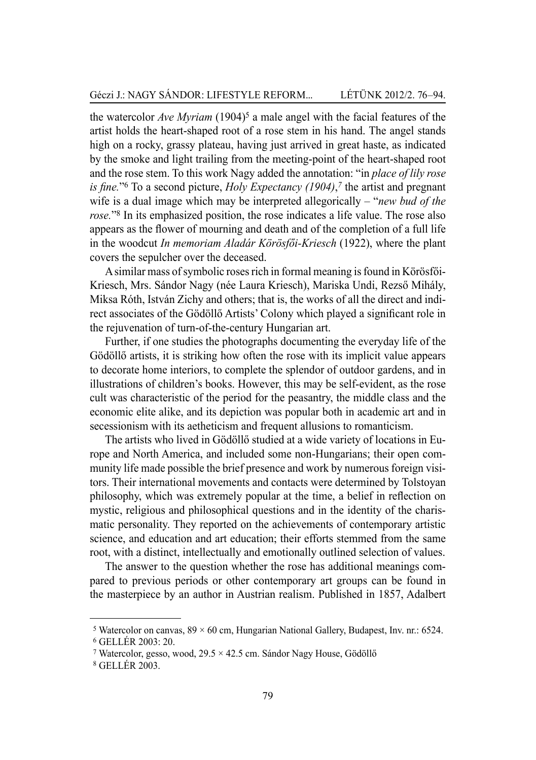the watercolor *Ave Myriam* (1904)<sup>5</sup> a male angel with the facial features of the artist holds the heart-shaped root of a rose stem in his hand. The angel stands high on a rocky, grassy plateau, having just arrived in great haste, as indicated by the smoke and light trailing from the meeting-point of the heart-shaped root and the rose stem. To this work Nagy added the annotation: "in *place of lily rose is fine.*"6 To a second picture, *Holy Expectancy (1904)*, *<sup>7</sup>* the artist and pregnant wife is a dual image which may be interpreted allegorically – "*new bud of the rose.*"8 In its emphasized position, the rose indicates a life value. The rose also appears as the flower of mourning and death and of the completion of a full life in the woodcut *In memoriam Aladár Körösfői-Kriesch* (1922), where the plant covers the sepulcher over the deceased.

A similar mass of symbolic roses rich in formal meaning is found in Körösfői-Kriesch, Mrs. Sándor Nagy (née Laura Kriesch), Mariska Undi, Rezső Mihály, Miksa Róth, István Zichy and others; that is, the works of all the direct and indirect associates of the Gödöllő Artists' Colony which played a significant role in the rejuvenation of turn-of-the-century Hungarian art.

Further, if one studies the photographs documenting the everyday life of the Gödöllő artists, it is striking how often the rose with its implicit value appears to decorate home interiors, to complete the splendor of outdoor gardens, and in illustrations of children's books. However, this may be self-evident, as the rose cult was characteristic of the period for the peasantry, the middle class and the economic elite alike, and its depiction was popular both in academic art and in secessionism with its aetheticism and frequent allusions to romanticism.

The artists who lived in Gödöllő studied at a wide variety of locations in Europe and North America, and included some non-Hungarians; their open community life made possible the brief presence and work by numerous foreign visitors. Their international movements and contacts were determined by Tolstoyan philosophy, which was extremely popular at the time, a belief in reflection on mystic, religious and philosophical questions and in the identity of the charismatic personality. They reported on the achievements of contemporary artistic science, and education and art education; their efforts stemmed from the same root, with a distinct, intellectually and emotionally outlined selection of values.

The answer to the question whether the rose has additional meanings compared to previous periods or other contemporary art groups can be found in the masterpiece by an author in Austrian realism. Published in 1857, Adalbert

<sup>&</sup>lt;sup>5</sup> Watercolor on canvas,  $89 \times 60$  cm, Hungarian National Gallery, Budapest, Inv. nr.: 6524.<br><sup>6</sup> GELLÉR 2003: 20.

<sup>&</sup>lt;sup>7</sup> Watercolor, gesso, wood,  $29.5 \times 42.5$  cm. Sándor Nagy House, Gödöllő

 <sup>8</sup>GELLÉR 2003.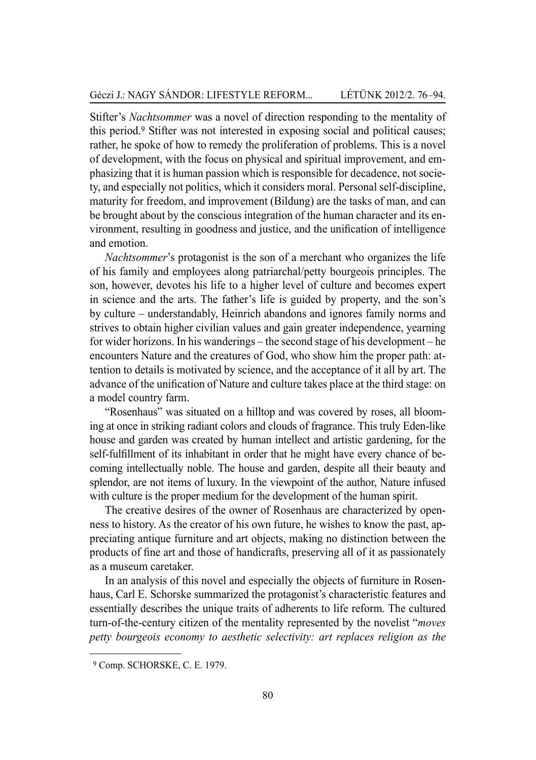Stifter's *Nachtsommer* was a novel of direction responding to the mentality of this period.9 Stifter was not interested in exposing social and political causes; rather, he spoke of how to remedy the proliferation of problems. This is a novel of development, with the focus on physical and spiritual improvement, and emphasizing that it is human passion which is responsible for decadence, not society, and especially not politics, which it considers moral. Personal self-discipline, maturity for freedom, and improvement (Bildung) are the tasks of man, and can be brought about by the conscious integration of the human character and its environment, resulting in goodness and justice, and the unification of intelligence and emotion.

*Nachtsommer*'s protagonist is the son of a merchant who organizes the life of his family and employees along patriarchal/petty bourgeois principles. The son, however, devotes his life to a higher level of culture and becomes expert in science and the arts. The father's life is guided by property, and the son's by culture – understandably, Heinrich abandons and ignores family norms and strives to obtain higher civilian values and gain greater independence, yearning for wider horizons. In his wanderings – the second stage of his development – he encounters Nature and the creatures of God, who show him the proper path: attention to details is motivated by science, and the acceptance of it all by art. The advance of the unification of Nature and culture takes place at the third stage: on a model country farm.

"Rosenhaus" was situated on a hilltop and was covered by roses, all blooming at once in striking radiant colors and clouds of fragrance. This truly Eden-like house and garden was created by human intellect and artistic gardening, for the self-fulfillment of its inhabitant in order that he might have every chance of becoming intellectually noble. The house and garden, despite all their beauty and splendor, are not items of luxury. In the viewpoint of the author, Nature infused with culture is the proper medium for the development of the human spirit.

The creative desires of the owner of Rosenhaus are characterized by openness to history. As the creator of his own future, he wishes to know the past, appreciating antique furniture and art objects, making no distinction between the products of fine art and those of handicrafts, preserving all of it as passionately as a museum caretaker.

In an analysis of this novel and especially the objects of furniture in Rosenhaus, Carl E. Schorske summarized the protagonist's characteristic features and essentially describes the unique traits of adherents to life reform. The cultured turn-of-the-century citizen of the mentality represented by the novelist "*moves petty bourgeois economy to aesthetic selectivity: art replaces religion as the* 

<sup>9</sup> Comp. SCHORSKE, C. E. 1979.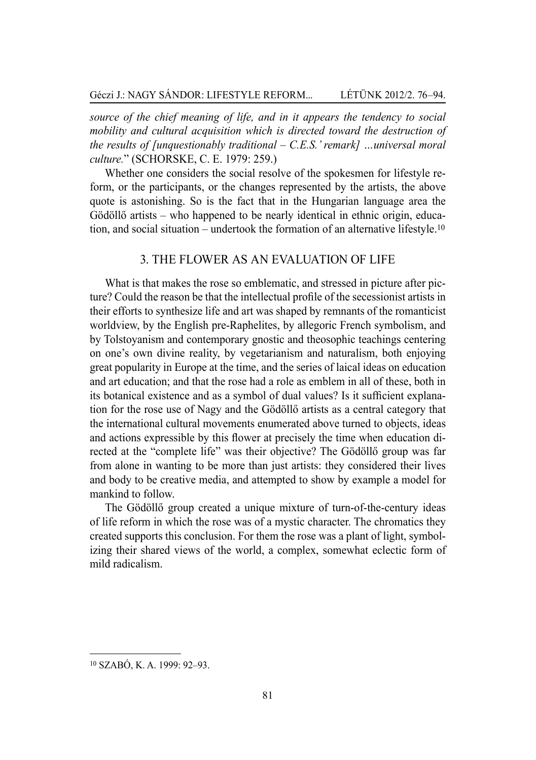*source of the chief meaning of life, and in it appears the tendency to social mobility and cultural acquisition which is directed toward the destruction of the results of [unquestionably traditional – C.E.S.' remark] …universal moral culture.*" (SCHORSKE, C. E. 1979: 259.)

Whether one considers the social resolve of the spokesmen for lifestyle reform, or the participants, or the changes represented by the artists, the above quote is astonishing. So is the fact that in the Hungarian language area the Gödöllő artists – who happened to be nearly identical in ethnic origin, education, and social situation – undertook the formation of an alternative lifestyle.<sup>10</sup>

## 3. The flower as an evaluation of life

What is that makes the rose so emblematic, and stressed in picture after picture? Could the reason be that the intellectual profile of the secessionist artists in their efforts to synthesize life and art was shaped by remnants of the romanticist worldview, by the English pre-Raphelites, by allegoric French symbolism, and by Tolstoyanism and contemporary gnostic and theosophic teachings centering on one's own divine reality, by vegetarianism and naturalism, both enjoying great popularity in Europe at the time, and the series of laical ideas on education and art education; and that the rose had a role as emblem in all of these, both in its botanical existence and as a symbol of dual values? Is it sufficient explanation for the rose use of Nagy and the Gödöllő artists as a central category that the international cultural movements enumerated above turned to objects, ideas and actions expressible by this flower at precisely the time when education directed at the "complete life" was their objective? The Gödöllő group was far from alone in wanting to be more than just artists: they considered their lives and body to be creative media, and attempted to show by example a model for mankind to follow.

The Gödöllő group created a unique mixture of turn-of-the-century ideas of life reform in which the rose was of a mystic character. The chromatics they created supports this conclusion. For them the rose was a plant of light, symbolizing their shared views of the world, a complex, somewhat eclectic form of mild radicalism.

<sup>10</sup> SZABÓ, K. A. 1999: 92–93.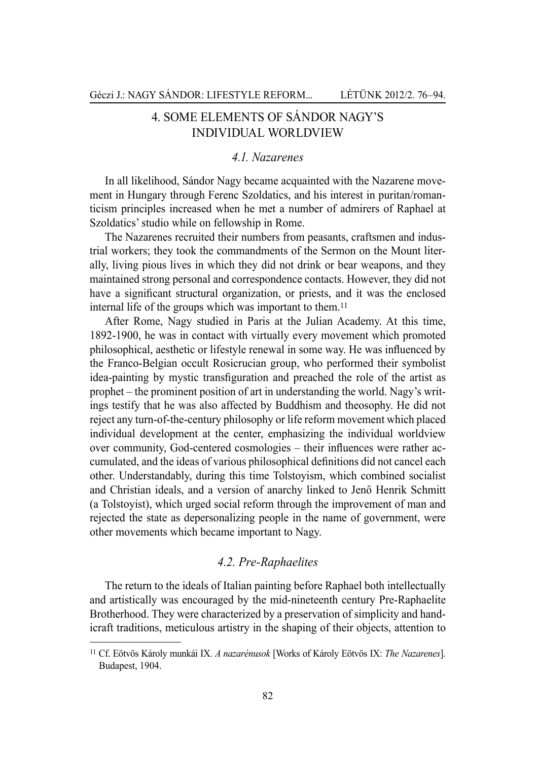## 4. Some elements of Sándor Nagy's individual worldview

## *4.1. Nazarenes*

In all likelihood, Sándor Nagy became acquainted with the Nazarene movement in Hungary through Ferenc Szoldatics, and his interest in puritan/romanticism principles increased when he met a number of admirers of Raphael at Szoldatics' studio while on fellowship in Rome.

The Nazarenes recruited their numbers from peasants, craftsmen and industrial workers; they took the commandments of the Sermon on the Mount literally, living pious lives in which they did not drink or bear weapons, and they maintained strong personal and correspondence contacts. However, they did not have a significant structural organization, or priests, and it was the enclosed internal life of the groups which was important to them.<sup>11</sup>

After Rome, Nagy studied in Paris at the Julian Academy. At this time, 1892-1900, he was in contact with virtually every movement which promoted philosophical, aesthetic or lifestyle renewal in some way. He was influenced by the Franco-Belgian occult Rosicrucian group, who performed their symbolist idea-painting by mystic transfiguration and preached the role of the artist as prophet – the prominent position of art in understanding the world. Nagy's writings testify that he was also affected by Buddhism and theosophy. He did not reject any turn-of-the-century philosophy or life reform movement which placed individual development at the center, emphasizing the individual worldview over community, God-centered cosmologies – their influences were rather accumulated, and the ideas of various philosophical definitions did not cancel each other. Understandably, during this time Tolstoyism, which combined socialist and Christian ideals, and a version of anarchy linked to Jenő Henrik Schmitt (a Tolstoyist), which urged social reform through the improvement of man and rejected the state as depersonalizing people in the name of government, were other movements which became important to Nagy.

#### *4.2. Pre-Raphaelites*

The return to the ideals of Italian painting before Raphael both intellectually and artistically was encouraged by the mid-nineteenth century Pre-Raphaelite Brotherhood. They were characterized by a preservation of simplicity and handicraft traditions, meticulous artistry in the shaping of their objects, attention to

<sup>11</sup> Cf. Eötvös Károly munkái IX. *A nazarénusok* [Works of Károly Eötvös IX: *The Nazarenes*]. Budapest, 1904.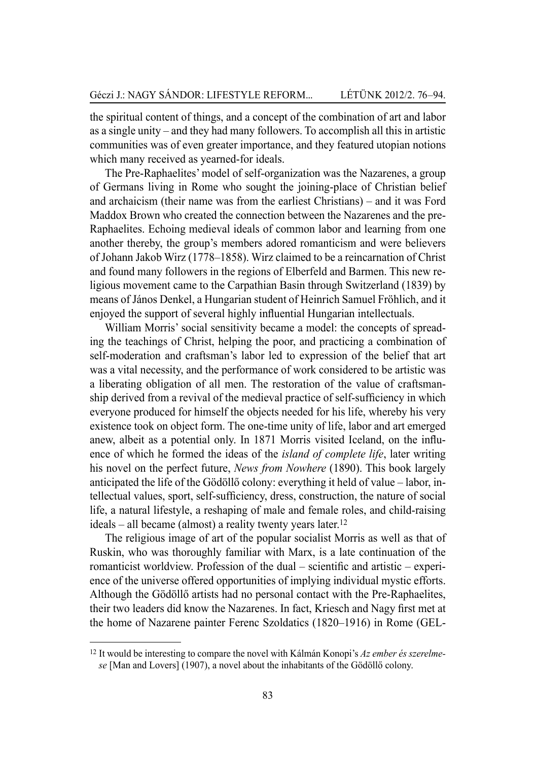the spiritual content of things, and a concept of the combination of art and labor as a single unity – and they had many followers. To accomplish all this in artistic communities was of even greater importance, and they featured utopian notions which many received as yearned-for ideals.

The Pre-Raphaelites' model of self-organization was the Nazarenes, a group of Germans living in Rome who sought the joining-place of Christian belief and archaicism (their name was from the earliest Christians) – and it was Ford Maddox Brown who created the connection between the Nazarenes and the pre-Raphaelites. Echoing medieval ideals of common labor and learning from one another thereby, the group's members adored romanticism and were believers of Johann Jakob Wirz (1778–1858). Wirz claimed to be a reincarnation of Christ and found many followers in the regions of Elberfeld and Barmen. This new religious movement came to the Carpathian Basin through Switzerland (1839) by means of János Denkel, a Hungarian student of Heinrich Samuel Fröhlich, and it enjoyed the support of several highly influential Hungarian intellectuals.

William Morris' social sensitivity became a model: the concepts of spreading the teachings of Christ, helping the poor, and practicing a combination of self-moderation and craftsman's labor led to expression of the belief that art was a vital necessity, and the performance of work considered to be artistic was a liberating obligation of all men. The restoration of the value of craftsmanship derived from a revival of the medieval practice of self-sufficiency in which everyone produced for himself the objects needed for his life, whereby his very existence took on object form. The one-time unity of life, labor and art emerged anew, albeit as a potential only. In 1871 Morris visited Iceland, on the influence of which he formed the ideas of the *island of complete life*, later writing his novel on the perfect future, *News from Nowhere* (1890). This book largely anticipated the life of the Gödöllő colony: everything it held of value – labor, intellectual values, sport, self-sufficiency, dress, construction, the nature of social life, a natural lifestyle, a reshaping of male and female roles, and child-raising ideals – all became (almost) a reality twenty years later.<sup>12</sup>

The religious image of art of the popular socialist Morris as well as that of Ruskin, who was thoroughly familiar with Marx, is a late continuation of the romanticist worldview. Profession of the dual – scientific and artistic – experience of the universe offered opportunities of implying individual mystic efforts. Although the Gödöllő artists had no personal contact with the Pre-Raphaelites, their two leaders did know the Nazarenes. In fact, Kriesch and Nagy first met at the home of Nazarene painter Ferenc Szoldatics (1820–1916) in Rome (Gel-

<sup>12</sup> It would be interesting to compare the novel with Kálmán Konopi's *Az ember és szerelmese* [Man and Lovers] (1907), a novel about the inhabitants of the Gödöllő colony.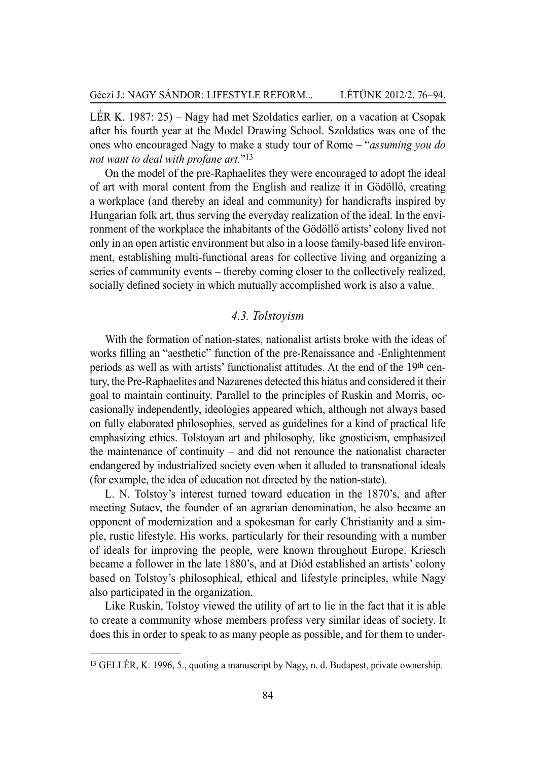LÉR K. 1987: 25) – Nagy had met Szoldatics earlier, on a vacation at Csopak after his fourth year at the Model Drawing School. Szoldatics was one of the ones who encouraged Nagy to make a study tour of Rome – "*assuming you do not want to deal with profane art.*"13

On the model of the pre-Raphaelites they were encouraged to adopt the ideal of art with moral content from the English and realize it in Gödöllő, creating a workplace (and thereby an ideal and community) for handicrafts inspired by Hungarian folk art, thus serving the everyday realization of the ideal. In the environment of the workplace the inhabitants of the Gödöllő artists' colony lived not only in an open artistic environment but also in a loose family-based life environment, establishing multi-functional areas for collective living and organizing a series of community events – thereby coming closer to the collectively realized, socially defined society in which mutually accomplished work is also a value.

#### *4.3. Tolstoyism*

With the formation of nation-states, nationalist artists broke with the ideas of works filling an "aesthetic" function of the pre-Renaissance and -Enlightenment periods as well as with artists' functionalist attitudes. At the end of the 19th century, the Pre-Raphaelites and Nazarenes detected this hiatus and considered it their goal to maintain continuity. Parallel to the principles of Ruskin and Morris, occasionally independently, ideologies appeared which, although not always based on fully elaborated philosophies, served as guidelines for a kind of practical life emphasizing ethics. Tolstoyan art and philosophy, like gnosticism, emphasized the maintenance of continuity – and did not renounce the nationalist character endangered by industrialized society even when it alluded to transnational ideals (for example, the idea of education not directed by the nation-state).

L. N. Tolstoy's interest turned toward education in the 1870's, and after meeting Sutaev, the founder of an agrarian denomination, he also became an opponent of modernization and a spokesman for early Christianity and a simple, rustic lifestyle. His works, particularly for their resounding with a number of ideals for improving the people, were known throughout Europe. Kriesch became a follower in the late 1880's, and at Diód established an artists' colony based on Tolstoy's philosophical, ethical and lifestyle principles, while Nagy also participated in the organization.

Like Ruskin, Tolstoy viewed the utility of art to lie in the fact that it is able to create a community whose members profess very similar ideas of society. It does this in order to speak to as many people as possible, and for them to under-

<sup>13</sup> GELLÉR, K. 1996, 5., quoting a manuscript by Nagy, n. d. Budapest, private ownership.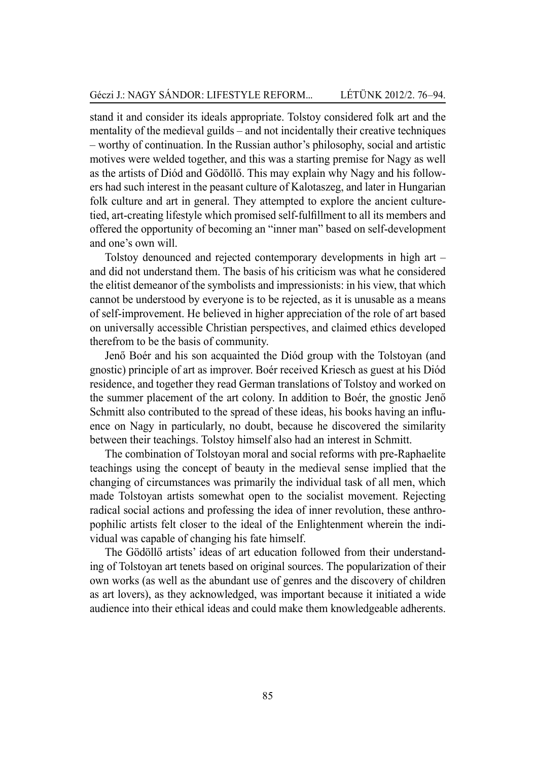stand it and consider its ideals appropriate. Tolstoy considered folk art and the mentality of the medieval guilds – and not incidentally their creative techniques – worthy of continuation. In the Russian author's philosophy, social and artistic motives were welded together, and this was a starting premise for Nagy as well as the artists of Diód and Gödöllő. This may explain why Nagy and his followers had such interest in the peasant culture of Kalotaszeg, and later in Hungarian folk culture and art in general. They attempted to explore the ancient culturetied, art-creating lifestyle which promised self-fulfillment to all its members and offered the opportunity of becoming an "inner man" based on self-development and one's own will.

Tolstoy denounced and rejected contemporary developments in high art – and did not understand them. The basis of his criticism was what he considered the elitist demeanor of the symbolists and impressionists: in his view, that which cannot be understood by everyone is to be rejected, as it is unusable as a means of self-improvement. He believed in higher appreciation of the role of art based on universally accessible Christian perspectives, and claimed ethics developed therefrom to be the basis of community.

Jenő Boér and his son acquainted the Diód group with the Tolstoyan (and gnostic) principle of art as improver. Boér received Kriesch as guest at his Diód residence, and together they read German translations of Tolstoy and worked on the summer placement of the art colony. In addition to Boér, the gnostic Jenő Schmitt also contributed to the spread of these ideas, his books having an influence on Nagy in particularly, no doubt, because he discovered the similarity between their teachings. Tolstoy himself also had an interest in Schmitt.

The combination of Tolstoyan moral and social reforms with pre-Raphaelite teachings using the concept of beauty in the medieval sense implied that the changing of circumstances was primarily the individual task of all men, which made Tolstoyan artists somewhat open to the socialist movement. Rejecting radical social actions and professing the idea of inner revolution, these anthropophilic artists felt closer to the ideal of the Enlightenment wherein the individual was capable of changing his fate himself.

The Gödöllő artists' ideas of art education followed from their understanding of Tolstoyan art tenets based on original sources. The popularization of their own works (as well as the abundant use of genres and the discovery of children as art lovers), as they acknowledged, was important because it initiated a wide audience into their ethical ideas and could make them knowledgeable adherents.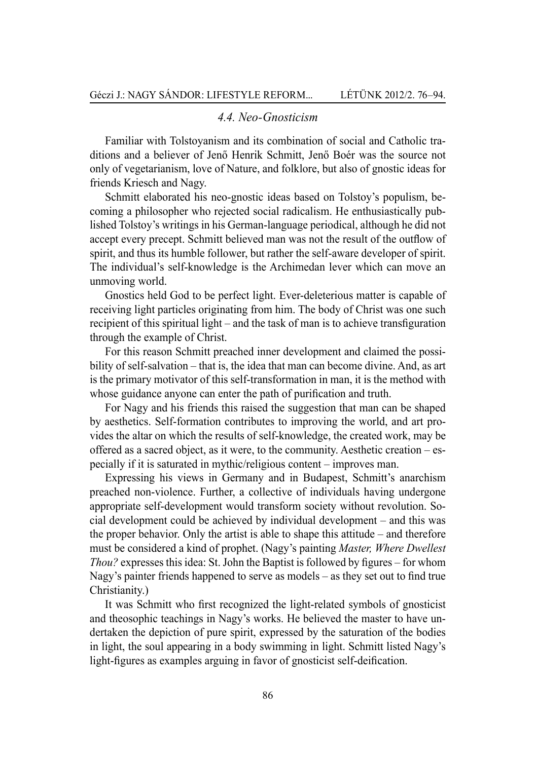#### *4.4. Neo-Gnosticism*

Familiar with Tolstoyanism and its combination of social and Catholic traditions and a believer of Jenő Henrik Schmitt, Jenő Boér was the source not only of vegetarianism, love of Nature, and folklore, but also of gnostic ideas for friends Kriesch and Nagy.

Schmitt elaborated his neo-gnostic ideas based on Tolstoy's populism, becoming a philosopher who rejected social radicalism. He enthusiastically published Tolstoy's writings in his German-language periodical, although he did not accept every precept. Schmitt believed man was not the result of the outflow of spirit, and thus its humble follower, but rather the self-aware developer of spirit. The individual's self-knowledge is the Archimedan lever which can move an unmoving world.

Gnostics held God to be perfect light. Ever-deleterious matter is capable of receiving light particles originating from him. The body of Christ was one such recipient of this spiritual light – and the task of man is to achieve transfiguration through the example of Christ.

For this reason Schmitt preached inner development and claimed the possibility of self-salvation – that is, the idea that man can become divine. And, as art is the primary motivator of this self-transformation in man, it is the method with whose guidance anyone can enter the path of purification and truth.

For Nagy and his friends this raised the suggestion that man can be shaped by aesthetics. Self-formation contributes to improving the world, and art provides the altar on which the results of self-knowledge, the created work, may be offered as a sacred object, as it were, to the community. Aesthetic creation – especially if it is saturated in mythic/religious content – improves man.

Expressing his views in Germany and in Budapest, Schmitt's anarchism preached non-violence. Further, a collective of individuals having undergone appropriate self-development would transform society without revolution. Social development could be achieved by individual development – and this was the proper behavior. Only the artist is able to shape this attitude – and therefore must be considered a kind of prophet. (Nagy's painting *Master, Where Dwellest Thou?* expresses this idea: St. John the Baptist is followed by figures – for whom Nagy's painter friends happened to serve as models – as they set out to find true Christianity.)

It was Schmitt who first recognized the light-related symbols of gnosticist and theosophic teachings in Nagy's works. He believed the master to have undertaken the depiction of pure spirit, expressed by the saturation of the bodies in light, the soul appearing in a body swimming in light. Schmitt listed Nagy's light-figures as examples arguing in favor of gnosticist self-deification.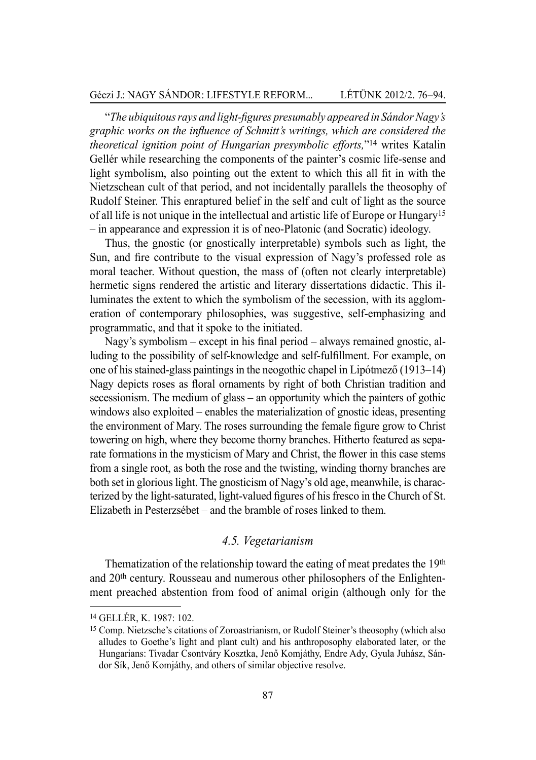"*The ubiquitous rays and light-figures presumably appeared in Sándor Nagy's graphic works on the influence of Schmitt's writings, which are considered the theoretical ignition point of Hungarian presymbolic efforts,*"14 writes Katalin Gellér while researching the components of the painter's cosmic life-sense and light symbolism, also pointing out the extent to which this all fit in with the Nietzschean cult of that period, and not incidentally parallels the theosophy of Rudolf Steiner. This enraptured belief in the self and cult of light as the source of all life is not unique in the intellectual and artistic life of Europe or Hungary<sup>15</sup> – in appearance and expression it is of neo-Platonic (and Socratic) ideology.

Thus, the gnostic (or gnostically interpretable) symbols such as light, the Sun, and fire contribute to the visual expression of Nagy's professed role as moral teacher. Without question, the mass of (often not clearly interpretable) hermetic signs rendered the artistic and literary dissertations didactic. This illuminates the extent to which the symbolism of the secession, with its agglomeration of contemporary philosophies, was suggestive, self-emphasizing and programmatic, and that it spoke to the initiated.

Nagy's symbolism – except in his final period – always remained gnostic, alluding to the possibility of self-knowledge and self-fulfillment. For example, on one of his stained-glass paintings in the neogothic chapel in Lipótmező (1913–14) Nagy depicts roses as floral ornaments by right of both Christian tradition and secessionism. The medium of glass – an opportunity which the painters of gothic windows also exploited – enables the materialization of gnostic ideas, presenting the environment of Mary. The roses surrounding the female figure grow to Christ towering on high, where they become thorny branches. Hitherto featured as separate formations in the mysticism of Mary and Christ, the flower in this case stems from a single root, as both the rose and the twisting, winding thorny branches are both set in glorious light. The gnosticism of Nagy's old age, meanwhile, is characterized by the light-saturated, light-valued figures of his fresco in the Church of St. Elizabeth in Pesterzsébet – and the bramble of roses linked to them.

#### *4.5. Vegetarianism*

Thematization of the relationship toward the eating of meat predates the 19th and 20th century. Rousseau and numerous other philosophers of the Enlightenment preached abstention from food of animal origin (although only for the

<sup>14</sup>GELLÉR, K. 1987: 102.

<sup>15</sup> Comp. Nietzsche's citations of Zoroastrianism, or Rudolf Steiner's theosophy (which also alludes to Goethe's light and plant cult) and his anthroposophy elaborated later, or the Hungarians: Tivadar Csontváry Kosztka, Jenő Komjáthy, Endre Ady, Gyula Juhász, Sándor Sík, Jenő Komjáthy, and others of similar objective resolve.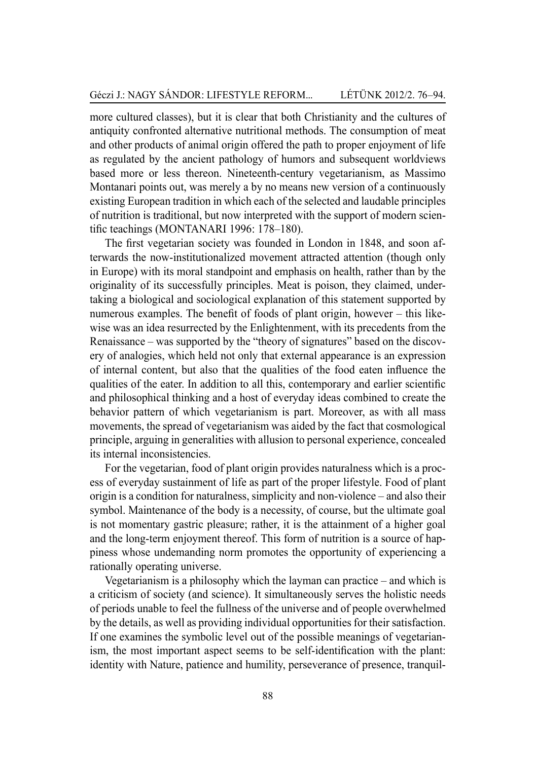more cultured classes), but it is clear that both Christianity and the cultures of antiquity confronted alternative nutritional methods. The consumption of meat and other products of animal origin offered the path to proper enjoyment of life as regulated by the ancient pathology of humors and subsequent worldviews based more or less thereon. Nineteenth-century vegetarianism, as Massimo Montanari points out, was merely a by no means new version of a continuously existing European tradition in which each of the selected and laudable principles of nutrition is traditional, but now interpreted with the support of modern scientific teachings (MONTANARI 1996: 178–180).

The first vegetarian society was founded in London in 1848, and soon afterwards the now-institutionalized movement attracted attention (though only in Europe) with its moral standpoint and emphasis on health, rather than by the originality of its successfully principles. Meat is poison, they claimed, undertaking a biological and sociological explanation of this statement supported by numerous examples. The benefit of foods of plant origin, however – this likewise was an idea resurrected by the Enlightenment, with its precedents from the Renaissance – was supported by the "theory of signatures" based on the discovery of analogies, which held not only that external appearance is an expression of internal content, but also that the qualities of the food eaten influence the qualities of the eater. In addition to all this, contemporary and earlier scientific and philosophical thinking and a host of everyday ideas combined to create the behavior pattern of which vegetarianism is part. Moreover, as with all mass movements, the spread of vegetarianism was aided by the fact that cosmological principle, arguing in generalities with allusion to personal experience, concealed its internal inconsistencies.

For the vegetarian, food of plant origin provides naturalness which is a process of everyday sustainment of life as part of the proper lifestyle. Food of plant origin is a condition for naturalness, simplicity and non-violence – and also their symbol. Maintenance of the body is a necessity, of course, but the ultimate goal is not momentary gastric pleasure; rather, it is the attainment of a higher goal and the long-term enjoyment thereof. This form of nutrition is a source of happiness whose undemanding norm promotes the opportunity of experiencing a rationally operating universe.

Vegetarianism is a philosophy which the layman can practice – and which is a criticism of society (and science). It simultaneously serves the holistic needs of periods unable to feel the fullness of the universe and of people overwhelmed by the details, as well as providing individual opportunities for their satisfaction. If one examines the symbolic level out of the possible meanings of vegetarianism, the most important aspect seems to be self-identification with the plant: identity with Nature, patience and humility, perseverance of presence, tranquil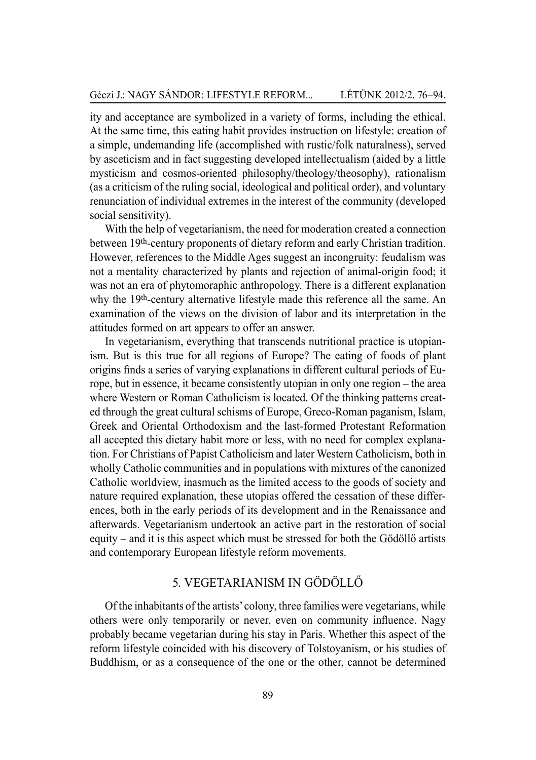ity and acceptance are symbolized in a variety of forms, including the ethical. At the same time, this eating habit provides instruction on lifestyle: creation of a simple, undemanding life (accomplished with rustic/folk naturalness), served by asceticism and in fact suggesting developed intellectualism (aided by a little mysticism and cosmos-oriented philosophy/theology/theosophy), rationalism (as a criticism of the ruling social, ideological and political order), and voluntary renunciation of individual extremes in the interest of the community (developed social sensitivity).

With the help of vegetarianism, the need for moderation created a connection between 19th-century proponents of dietary reform and early Christian tradition. However, references to the Middle Ages suggest an incongruity: feudalism was not a mentality characterized by plants and rejection of animal-origin food; it was not an era of phytomoraphic anthropology. There is a different explanation why the 19<sup>th</sup>-century alternative lifestyle made this reference all the same. An examination of the views on the division of labor and its interpretation in the attitudes formed on art appears to offer an answer.

In vegetarianism, everything that transcends nutritional practice is utopianism. But is this true for all regions of Europe? The eating of foods of plant origins finds a series of varying explanations in different cultural periods of Europe, but in essence, it became consistently utopian in only one region – the area where Western or Roman Catholicism is located. Of the thinking patterns created through the great cultural schisms of Europe, Greco-Roman paganism, Islam, Greek and Oriental Orthodoxism and the last-formed Protestant Reformation all accepted this dietary habit more or less, with no need for complex explanation. For Christians of Papist Catholicism and later Western Catholicism, both in wholly Catholic communities and in populations with mixtures of the canonized Catholic worldview, inasmuch as the limited access to the goods of society and nature required explanation, these utopias offered the cessation of these differences, both in the early periods of its development and in the Renaissance and afterwards. Vegetarianism undertook an active part in the restoration of social equity – and it is this aspect which must be stressed for both the Gödöllő artists and contemporary European lifestyle reform movements.

## 5. Vegetarianism in Gödöllő

Of the inhabitants of the artists' colony, three families were vegetarians, while others were only temporarily or never, even on community influence. Nagy probably became vegetarian during his stay in Paris. Whether this aspect of the reform lifestyle coincided with his discovery of Tolstoyanism, or his studies of Buddhism, or as a consequence of the one or the other, cannot be determined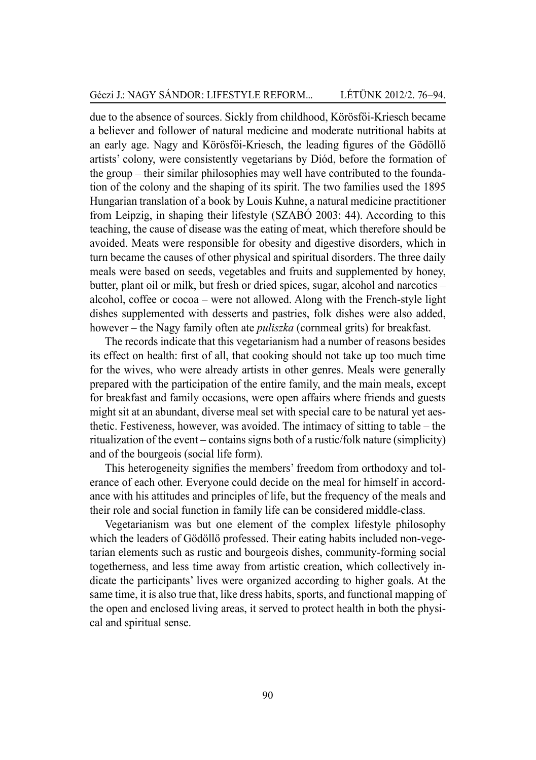due to the absence of sources. Sickly from childhood, Körösfői-Kriesch became a believer and follower of natural medicine and moderate nutritional habits at an early age. Nagy and Körösfői-Kriesch, the leading figures of the Gödöllő artists' colony, were consistently vegetarians by Diód, before the formation of the group – their similar philosophies may well have contributed to the foundation of the colony and the shaping of its spirit. The two families used the 1895 Hungarian translation of a book by Louis Kuhne, a natural medicine practitioner from Leipzig, in shaping their lifestyle (Szabó 2003: 44). According to this teaching, the cause of disease was the eating of meat, which therefore should be avoided. Meats were responsible for obesity and digestive disorders, which in turn became the causes of other physical and spiritual disorders. The three daily meals were based on seeds, vegetables and fruits and supplemented by honey, butter, plant oil or milk, but fresh or dried spices, sugar, alcohol and narcotics – alcohol, coffee or cocoa – were not allowed. Along with the French-style light dishes supplemented with desserts and pastries, folk dishes were also added, however – the Nagy family often ate *puliszka* (cornmeal grits) for breakfast.

The records indicate that this vegetarianism had a number of reasons besides its effect on health: first of all, that cooking should not take up too much time for the wives, who were already artists in other genres. Meals were generally prepared with the participation of the entire family, and the main meals, except for breakfast and family occasions, were open affairs where friends and guests might sit at an abundant, diverse meal set with special care to be natural yet aesthetic. Festiveness, however, was avoided. The intimacy of sitting to table – the ritualization of the event – contains signs both of a rustic/folk nature (simplicity) and of the bourgeois (social life form).

This heterogeneity signifies the members' freedom from orthodoxy and tolerance of each other. Everyone could decide on the meal for himself in accordance with his attitudes and principles of life, but the frequency of the meals and their role and social function in family life can be considered middle-class.

Vegetarianism was but one element of the complex lifestyle philosophy which the leaders of Gödöllő professed. Their eating habits included non-vegetarian elements such as rustic and bourgeois dishes, community-forming social togetherness, and less time away from artistic creation, which collectively indicate the participants' lives were organized according to higher goals. At the same time, it is also true that, like dress habits, sports, and functional mapping of the open and enclosed living areas, it served to protect health in both the physical and spiritual sense.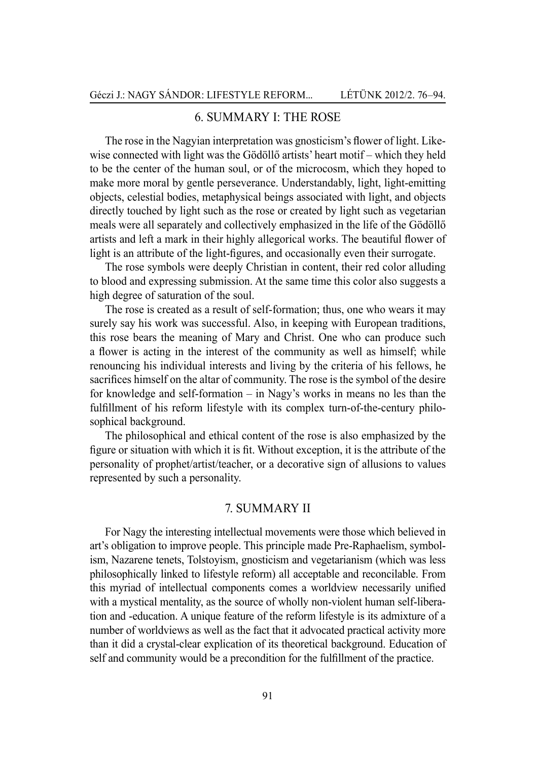## 6. Summary I: The rose

The rose in the Nagyian interpretation was gnosticism's flower of light. Likewise connected with light was the Gödöllő artists' heart motif – which they held to be the center of the human soul, or of the microcosm, which they hoped to make more moral by gentle perseverance. Understandably, light, light-emitting objects, celestial bodies, metaphysical beings associated with light, and objects directly touched by light such as the rose or created by light such as vegetarian meals were all separately and collectively emphasized in the life of the Gödöllő artists and left a mark in their highly allegorical works. The beautiful flower of light is an attribute of the light-figures, and occasionally even their surrogate.

The rose symbols were deeply Christian in content, their red color alluding to blood and expressing submission. At the same time this color also suggests a high degree of saturation of the soul.

The rose is created as a result of self-formation; thus, one who wears it may surely say his work was successful. Also, in keeping with European traditions, this rose bears the meaning of Mary and Christ. One who can produce such a flower is acting in the interest of the community as well as himself; while renouncing his individual interests and living by the criteria of his fellows, he sacrifices himself on the altar of community. The rose is the symbol of the desire for knowledge and self-formation – in Nagy's works in means no les than the fulfillment of his reform lifestyle with its complex turn-of-the-century philosophical background.

The philosophical and ethical content of the rose is also emphasized by the figure or situation with which it is fit. Without exception, it is the attribute of the personality of prophet/artist/teacher, or a decorative sign of allusions to values represented by such a personality.

#### 7. Summary II

For Nagy the interesting intellectual movements were those which believed in art's obligation to improve people. This principle made Pre-Raphaelism, symbolism, Nazarene tenets, Tolstoyism, gnosticism and vegetarianism (which was less philosophically linked to lifestyle reform) all acceptable and reconcilable. From this myriad of intellectual components comes a worldview necessarily unified with a mystical mentality, as the source of wholly non-violent human self-liberation and -education. A unique feature of the reform lifestyle is its admixture of a number of worldviews as well as the fact that it advocated practical activity more than it did a crystal-clear explication of its theoretical background. Education of self and community would be a precondition for the fulfillment of the practice.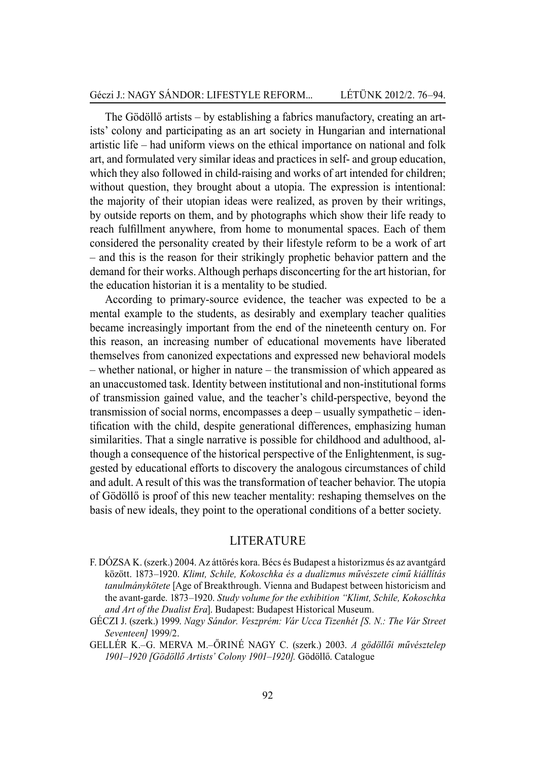The Gödöllő artists – by establishing a fabrics manufactory, creating an artists' colony and participating as an art society in Hungarian and international artistic life – had uniform views on the ethical importance on national and folk art, and formulated very similar ideas and practices in self- and group education, which they also followed in child-raising and works of art intended for children; without question, they brought about a utopia. The expression is intentional: the majority of their utopian ideas were realized, as proven by their writings, by outside reports on them, and by photographs which show their life ready to reach fulfillment anywhere, from home to monumental spaces. Each of them considered the personality created by their lifestyle reform to be a work of art – and this is the reason for their strikingly prophetic behavior pattern and the demand for their works. Although perhaps disconcerting for the art historian, for the education historian it is a mentality to be studied.

According to primary-source evidence, the teacher was expected to be a mental example to the students, as desirably and exemplary teacher qualities became increasingly important from the end of the nineteenth century on. For this reason, an increasing number of educational movements have liberated themselves from canonized expectations and expressed new behavioral models – whether national, or higher in nature – the transmission of which appeared as an unaccustomed task. Identity between institutional and non-institutional forms of transmission gained value, and the teacher's child-perspective, beyond the transmission of social norms, encompasses a deep – usually sympathetic – identification with the child, despite generational differences, emphasizing human similarities. That a single narrative is possible for childhood and adulthood, although a consequence of the historical perspective of the Enlightenment, is suggested by educational efforts to discovery the analogous circumstances of child and adult. A result of this was the transformation of teacher behavior. The utopia of Gödöllő is proof of this new teacher mentality: reshaping themselves on the basis of new ideals, they point to the operational conditions of a better society.

#### **LITER ATURE**

- F. DÓZSA K. (szerk.) 2004. Az áttörés kora. Bécs és Budapest a historizmus és az avantgárd között. 1873–1920. *Klimt, Schile, Kokoschka és a dualizmus művészete című kiállítás tanulmánykötete* [Age of Breakthrough. Vienna and Budapest between historicism and the avant-garde. 1873–1920. *Study volume for the exhibition "Klimt, Schile, Kokoschka and Art of the Dualist Era*]. Budapest: Budapest Historical Museum.
- GÉCZI J. (szerk.) 1999. *Nagy Sándor. Veszprém: Vár Ucca Tizenhét [S. N.: The Vár Street Seventeen]* 1999/2.
- GELLÉR K.–G. MERVA M.–ŐRINÉ NAGY C. (szerk.) 2003. *A gödöllői művésztelep 1901*–*1920 [Gödöllő Artists' Colony 1901–1920].* Gödöllő. Catalogue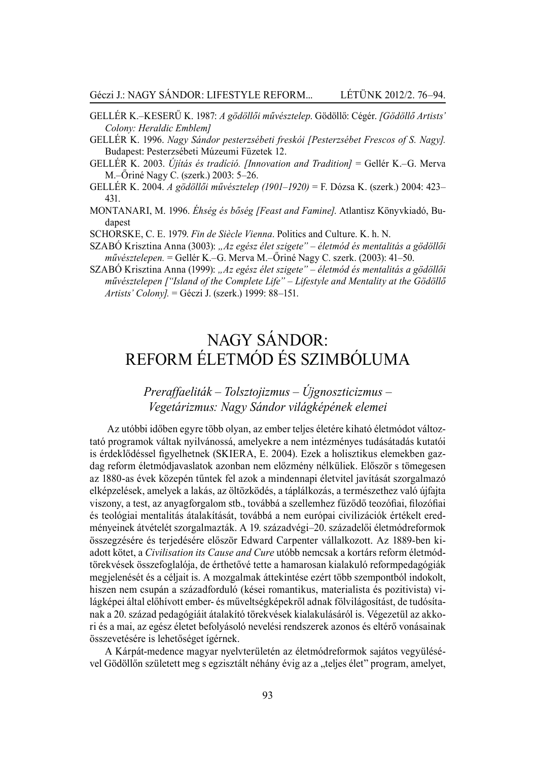- GELLÉR K.–KESERŰ K. 1987: *A gödöllői művésztelep*. Gödöllő: Cégér. *[Gödöllő Artists' Colony: Heraldic Emblem]*
- GELLÉR K. 1996. *Nagy Sándor pesterzsébeti freskói [Pesterzsébet Frescos of S. Nagy].*  Budapest: Pesterzsébeti Múzeumi Füzetek 12.
- GELLÉR K. 2003. *Újítás és tradíció. [Innovation and Tradition]* = Gellér K.–G. Merva M.–Őriné Nagy C. (szerk.) 2003: 5–26.
- GELLÉR K. 2004. *A gödöllői művésztelep (1901–1920)* = F. Dózsa K. (szerk.) 2004: 423– 431.
- MONTANARI, M. 1996. *Éhség és bőség [Feast and Famine]*. Atlantisz Könyvkiadó, Budapest

SCHORSKE, C. E. 1979. *Fin de Siècle Vienna*. Politics and Culture. K. h. N.

- SZABÓ Krisztina Anna (3003): *"Az egész élet szigete" életmód és mentalitás a gödöllői művésztelepen.* = Gellér K.–G. Merva M.–Őriné Nagy C. szerk. (2003): 41–50.
- SZABÓ Krisztina Anna (1999): *"Az egész élet szigete" életmód és mentalitás a gödöllői művésztelepen ["Island of the Complete Life" – Lifestyle and Mentality at the Gödöllő Artists' Colony].* = Géczi J. (szerk.) 1999: 88–151.

# Nagy Sándor: Reform életmód és szimbóluma

# *Preraffaeliták – Tolsztojizmus – Újgnoszticizmus – Vegetárizmus: Nagy Sándor világképének elemei*

 Az utóbbi időben egyre több olyan, az ember teljes életére kiható életmódot változtató programok váltak nyilvánossá, amelyekre a nem intézményes tudásátadás kutatói is érdeklődéssel figyelhetnek (SKIERA, E. 2004). Ezek a holisztikus elemekben gazdag reform életmódjavaslatok azonban nem előzmény nélküliek. Először s tömegesen az 1880-as évek közepén tűntek fel azok a mindennapi életvitel javítását szorgalmazó elképzelések, amelyek a lakás, az öltözködés, a táplálkozás, a természethez való újfajta viszony, a test, az anyagforgalom stb., továbbá a szellemhez fűződő teozófiai, filozófiai és teológiai mentalitás átalakítását, továbbá a nem európai civilizációk értékelt eredményeinek átvételét szorgalmazták. A 19. századvégi–20. századelői életmódreformok összegzésére és terjedésére először Edward Carpenter vállalkozott. Az 1889-ben kiadott kötet, a *Civilisation its Cause and Cure* utóbb nemcsak a kortárs reform életmódtörekvések összefoglalója, de érthetővé tette a hamarosan kialakuló reformpedagógiák megjelenését és a céljait is. A mozgalmak áttekintése ezért több szempontból indokolt, hiszen nem csupán a századforduló (kései romantikus, materialista és pozitivista) világképei által előhívott ember- és műveltségképekről adnak fölvilágosítást, de tudósítanak a 20. század pedagógiáit átalakító törekvések kialakulásáról is. Végezetül az akkori és a mai, az egész életet befolyásoló nevelési rendszerek azonos és eltérő vonásainak összevetésére is lehetőséget ígérnek.

A Kárpát-medence magyar nyelvterületén az életmódreformok sajátos vegyülésével Gödöllőn született meg s egzisztált néhány évig az a "teljes élet" program, amelyet,